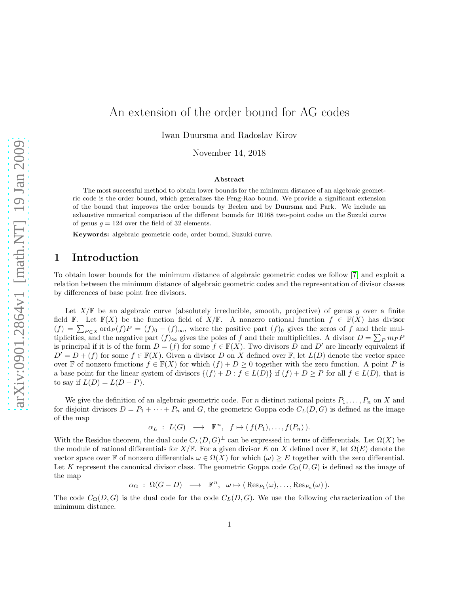# An extension of the order bound for AG codes

Iwan Duursma and Radoslav Kirov

November 14, 2018

#### Abstract

The most successful method to obtain lower bounds for the minimum distance of an algebraic geometric code is the order bound, which generalizes the Feng-Rao bound. We provide a significant extension of the bound that improves the order bounds by Beelen and by Duursma and Park. We include an exhaustive numerical comparison of the different bounds for 10168 two-point codes on the Suzuki curve of genus  $q = 124$  over the field of 32 elements.

Keywords: algebraic geometric code, order bound, Suzuki curve.

# 1 Introduction

To obtain lower bounds for the minimum distance of algebraic geometric codes we follow [\[7\]](#page-8-0) and exploit a relation between the minimum distance of algebraic geometric codes and the representation of divisor classes by differences of base point free divisors.

Let  $X/\mathbb{F}$  be an algebraic curve (absolutely irreducible, smooth, projective) of genus g over a finite field F. Let  $\mathbb{F}(X)$  be the function field of  $X/\mathbb{F}$ . A nonzero rational function  $f \in \mathbb{F}(X)$  has divisor  $(f) = \sum_{P \in X} \text{ord}_P(f)P = (f)_{0} - (f)_{\infty}$ , where the positive part  $(f)_{0}$  gives the zeros of f and their multiplicities, and the negative part  $(f)_{\infty}$  gives the poles of f and their multiplicities. A divisor  $D = \sum_{P} m_{P} P$ is principal if it is of the form  $D = (f)$  for some  $f \in \mathbb{F}(X)$ . Two divisors D and D' are linearly equivalent if  $D' = D + (f)$  for some  $f \in \mathbb{F}(X)$ . Given a divisor D on X defined over  $\mathbb{F}$ , let  $L(D)$  denote the vector space over F of nonzero functions  $f \in \mathbb{F}(X)$  for which  $(f) + D \geq 0$  together with the zero function. A point P is a base point for the linear system of divisors  $\{(f) + D : f \in L(D)\}\$ if  $(f) + D \geq P$  for all  $f \in L(D)$ , that is to say if  $L(D) = L(D - P)$ .

We give the definition of an algebraic geometric code. For n distinct rational points  $P_1, \ldots, P_n$  on X and for disjoint divisors  $D = P_1 + \cdots + P_n$  and G, the geometric Goppa code  $C_L(D, G)$  is defined as the image of the map

$$
\alpha_L : L(G) \longrightarrow \mathbb{F}^n, f \mapsto (f(P_1), \dots, f(P_n)).
$$

With the Residue theorem, the dual code  $C_L(D, G)^{\perp}$  can be expressed in terms of differentials. Let  $\Omega(X)$  be the module of rational differentials for  $X/\mathbb{F}$ . For a given divisor E on X defined over  $\mathbb{F}$ , let  $\Omega(E)$  denote the vector space over F of nonzero differentials  $\omega \in \Omega(X)$  for which  $(\omega) \geq E$  together with the zero differential. Let K represent the canonical divisor class. The geometric Goppa code  $C_{\Omega}(D, G)$  is defined as the image of the map

$$
\alpha_{\Omega} : \Omega(G-D) \longrightarrow \mathbb{F}^n, \omega \mapsto (\text{Res}_{P_1}(\omega), \dots, \text{Res}_{P_n}(\omega)).
$$

The code  $C_{\Omega}(D, G)$  is the dual code for the code  $C_L(D, G)$ . We use the following characterization of the minimum distance.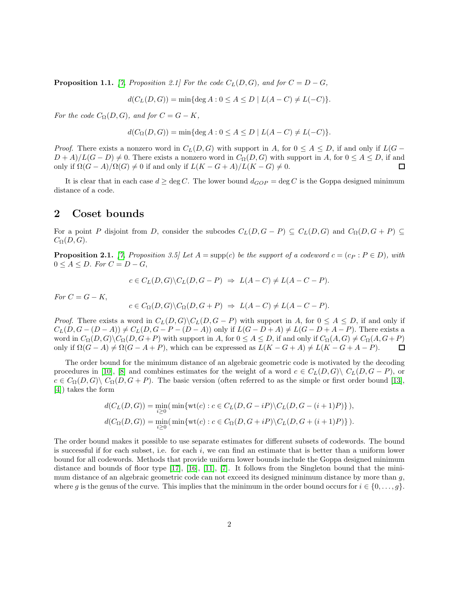**Proposition 1.1.** [\[7,](#page-8-0) Proposition 2.1] For the code  $C_L(D, G)$ , and for  $C = D - G$ ,

$$
d(C_L(D, G)) = \min\{\deg A : 0 \le A \le D \mid L(A - C) \ne L(-C)\}.
$$

For the code  $C_{\Omega}(D, G)$ , and for  $C = G - K$ ,

$$
d(C_{\Omega}(D, G)) = \min\{\deg A : 0 \le A \le D \mid L(A - C) \ne L(-C)\}.
$$

*Proof.* There exists a nonzero word in  $C_L(D, G)$  with support in A, for  $0 \leq A \leq D$ , if and only if  $L(G D + A/L(G - D) \neq 0$ . There exists a nonzero word in  $C_{\Omega}(D, G)$  with support in A, for  $0 \leq A \leq D$ , if and only if  $\Omega(G-A)/\Omega(G) \neq 0$  if and only if  $L(K-G+A)/L(K-G) \neq 0$ . П

It is clear that in each case  $d \ge \deg C$ . The lower bound  $d_{GOP} = \deg C$  is the Goppa designed minimum distance of a code.

### 2 Coset bounds

For a point P disjoint from D, consider the subcodes  $C_L(D, G - P) \subseteq C_L(D, G)$  and  $C_{\Omega}(D, G + P) \subseteq$  $C_{\Omega}(D, G).$ 

<span id="page-1-0"></span>**Proposition 2.1.** [\[7,](#page-8-0) Proposition 3.5] Let  $A = \text{supp}(c)$  be the support of a codeword  $c = (c_P : P \in D)$ , with  $0 \leq A \leq D$ . For  $C = D - G$ ,

$$
c \in C_L(D, G) \backslash C_L(D, G - P) \Rightarrow L(A - C) \neq L(A - C - P).
$$

For  $C = G - K$ ,

$$
c \in C_{\Omega}(D, G) \backslash C_{\Omega}(D, G + P) \Rightarrow L(A - C) \neq L(A - C - P).
$$

*Proof.* There exists a word in  $C_L(D, G) \setminus C_L(D, G - P)$  with support in A, for  $0 \le A \le D$ , if and only if  $C_L(D, G - (D - A)) \neq C_L(D, G - P - (D - A))$  only if  $L(G - D + A) \neq L(G - D + A - P)$ . There exists a word in  $C_{\Omega}(D, G)\backslash C_{\Omega}(D, G+P)$  with support in A, for  $0 \leq A \leq D$ , if and only if  $C_{\Omega}(A, G) \neq C_{\Omega}(A, G+P)$ only if  $\Omega(G - A) \neq \Omega(G - A + P)$ , which can be expressed as  $L(K - G + A) \neq L(K - G + A - P)$ .  $\Box$ 

The order bound for the minimum distance of an algebraic geometric code is motivated by the decoding procedures in [\[10\]](#page-8-1), [\[8\]](#page-8-2) and combines estimates for the weight of a word  $c \in C<sub>L</sub>(D, G)\setminus C<sub>L</sub>(D, G - P)$ , or  $c \in C_{\Omega}(D, G) \setminus C_{\Omega}(D, G + P)$ . The basic version (often referred to as the simple or first order bound [\[13\]](#page-10-0), [\[4\]](#page-8-3)) takes the form

$$
d(C_L(D, G)) = \min_{i \geq 0} (\min \{ \text{wt}(c) : c \in C_L(D, G - iP) \setminus C_L(D, G - (i + 1)P) \},
$$
  

$$
d(C_{\Omega}(D, G)) = \min_{i \geq 0} (\min \{ \text{wt}(c) : c \in C_{\Omega}(D, G + iP) \setminus C_L(D, G + (i + 1)P) \}).
$$

The order bound makes it possible to use separate estimates for different subsets of codewords. The bound is successful if for each subset, i.e. for each i, we can find an estimate that is better than a uniform lower bound for all codewords. Methods that provide uniform lower bounds include the Goppa designed minimum distance and bounds of floor type  $[17]$ ,  $[16]$ ,  $[11]$ ,  $[7]$ . It follows from the Singleton bound that the minimum distance of an algebraic geometric code can not exceed its designed minimum distance by more than g, where g is the genus of the curve. This implies that the minimum in the order bound occurs for  $i \in \{0, \ldots, g\}$ .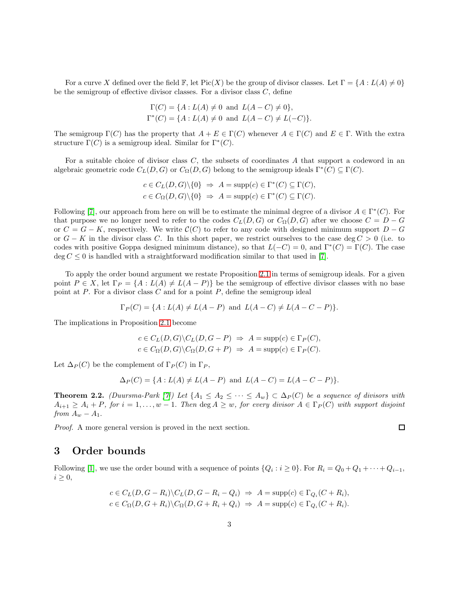For a curve X defined over the field F, let  $Pic(X)$  be the group of divisor classes. Let  $\Gamma = \{A : L(A) \neq 0\}$ be the semigroup of effective divisor classes. For a divisor class  $C$ , define

$$
\Gamma(C) = \{ A : L(A) \neq 0 \text{ and } L(A - C) \neq 0 \},\
$$
  

$$
\Gamma^*(C) = \{ A : L(A) \neq 0 \text{ and } L(A - C) \neq L(-C) \}.
$$

The semigroup  $\Gamma(C)$  has the property that  $A + E \in \Gamma(C)$  whenever  $A \in \Gamma(C)$  and  $E \in \Gamma$ . With the extra structure  $\Gamma(C)$  is a semigroup ideal. Similar for  $\Gamma^*(C)$ .

For a suitable choice of divisor class C, the subsets of coordinates A that support a codeword in an algebraic geometric code  $C_L(D, G)$  or  $C_{\Omega}(D, G)$  belong to the semigroup ideals  $\Gamma^*(C) \subseteq \Gamma(C)$ .

$$
c \in C_L(D, G) \setminus \{0\} \Rightarrow A = \text{supp}(c) \in \Gamma^*(C) \subseteq \Gamma(C),
$$
  

$$
c \in C_{\Omega}(D, G) \setminus \{0\} \Rightarrow A = \text{supp}(c) \in \Gamma^*(C) \subseteq \Gamma(C).
$$

Following [\[7\]](#page-8-0), our approach from here on will be to estimate the minimal degree of a divisor  $A \in \Gamma^*(C)$ . For that purpose we no longer need to refer to the codes  $C_L(D, G)$  or  $C_{\Omega}(D, G)$  after we choose  $C = D - G$ or  $C = G - K$ , respectively. We write  $C(C)$  to refer to any code with designed minimum support  $D - G$ or  $G - K$  in the divisor class C. In this short paper, we restrict ourselves to the case deg  $C > 0$  (i.e. to codes with positive Goppa designed minimum distance), so that  $L(-C) = 0$ , and  $\Gamma^*(C) = \Gamma(C)$ . The case  $\deg C \leq 0$  is handled with a straightforward modification similar to that used in [\[7\]](#page-8-0).

To apply the order bound argument we restate Proposition [2.1](#page-1-0) in terms of semigroup ideals. For a given point  $P \in X$ , let  $\Gamma_P = \{A : L(A) \neq L(A - P)\}\$  be the semigroup of effective divisor classes with no base point at  $P$ . For a divisor class  $C$  and for a point  $P$ , define the semigroup ideal

$$
\Gamma_P(C) = \{A : L(A) \neq L(A - P) \text{ and } L(A - C) \neq L(A - C - P)\}.
$$

The implications in Proposition [2.1](#page-1-0) become

$$
c \in C_L(D, G) \backslash C_L(D, G - P) \implies A = \text{supp}(c) \in \Gamma_P(C),
$$
  

$$
c \in C_{\Omega}(D, G) \backslash C_{\Omega}(D, G + P) \implies A = \text{supp}(c) \in \Gamma_P(C).
$$

Let  $\Delta_P(C)$  be the complement of  $\Gamma_P(C)$  in  $\Gamma_P$ ,

$$
\Delta_P(C) = \{ A : L(A) \neq L(A - P) \text{ and } L(A - C) = L(A - C - P) \}.
$$

<span id="page-2-0"></span>**Theorem 2.2.** (Duursma-Park [\[7\]](#page-8-0)) Let  $\{A_1 \leq A_2 \leq \cdots \leq A_w\} \subset \Delta_P(C)$  be a sequence of divisors with  $A_{i+1} \geq A_i + P$ , for  $i = 1, \ldots, w - 1$ . Then  $\deg A \geq w$ , for every divisor  $A \in \Gamma_P(C)$  with support disjoint from  $A_w - A_1$ .

Proof. A more general version is proved in the next section.

### 3 Order bounds

Following [\[1\]](#page-8-5), we use the order bound with a sequence of points  $\{Q_i : i \ge 0\}$ . For  $R_i = Q_0 + Q_1 + \cdots + Q_{i-1}$ ,  $i \geq 0$ ,

$$
c \in C_L(D, G - R_i) \setminus C_L(D, G - R_i - Q_i) \Rightarrow A = \text{supp}(c) \in \Gamma_{Q_i}(C + R_i),
$$
  

$$
c \in C_{\Omega}(D, G + R_i) \setminus C_{\Omega}(D, G + R_i + Q_i) \Rightarrow A = \text{supp}(c) \in \Gamma_{Q_i}(C + R_i).
$$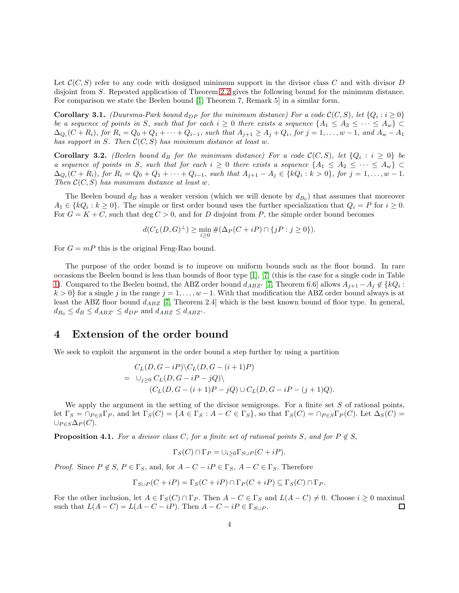Let  $\mathcal{C}(C, S)$  refer to any code with designed minimum support in the divisor class C and with divisor D disjoint from S. Repeated application of Theorem [2.2](#page-2-0) gives the following bound for the minimum distance. For comparison we state the Beelen bound [\[1,](#page-8-5) Theorem 7, Remark 5] in a similar form.

**Corollary 3.1.** (Duursma-Park bound  $d_{DP}$  for the minimum distance) For a code  $\mathcal{C}(C, S)$ , let  $\{Q_i : i \geq 0\}$ be a sequence of points in S, such that for each  $i \geq 0$  there exists a sequence  $\{A_1 \leq A_2 \leq \cdots \leq A_w\}$  $\Delta_{Q_i}(C+R_i)$ , for  $R_i = Q_0 + Q_1 + \cdots + Q_{i-1}$ , such that  $A_{j+1} \ge A_j + Q_i$ , for  $j = 1, \ldots, w-1$ , and  $A_w - A_1$ has support in S. Then  $\mathcal{C}(C, S)$  has minimum distance at least w.

**Corollary 3.2.** (Beelen bound  $d_B$  for the minimum distance) For a code  $\mathcal{C}(C, S)$ , let  $\{Q_i : i \geq 0\}$  be a sequence of points in S, such that for each  $i \geq 0$  there exists a sequence  $\{A_1 \leq A_2 \leq \cdots \leq A_w\}$  $\Delta_{Q_i}(C+R_i)$ , for  $R_i = Q_0 + Q_1 + \cdots + Q_{i-1}$ , such that  $A_{j+1} - A_j \in \{kQ_i : k > 0\}$ , for  $j = 1, \ldots, w - 1$ . Then  $\mathcal{C}(C, S)$  has minimum distance at least w.

The Beelen bound  $d_B$  has a weaker version (which we will denote by  $d_{B_0}$ ) that assumes that moreover  $A_1 \in \{kQ_i : k \geq 0\}$ . The simple or first order bound uses the further specialization that  $Q_i = P$  for  $i \geq 0$ . For  $G = K + C$ , such that deg  $C > 0$ , and for D disjoint from P, the simple order bound becomes

$$
d(C_L(D, G)^{\perp}) \ge \min_{i \ge 0} \#(\Delta_P(C + iP) \cap \{jP : j \ge 0\}).
$$

For  $G = mP$  this is the original Feng-Rao bound.

The purpose of the order bound is to improve on uniform bounds such as the floor bound. In rare occasions the Beelen bound is less than bounds of floor type [\[1\]](#page-8-5), [\[7\]](#page-8-0) (this is the case for a single code in Table [1\)](#page-7-0). Compared to the Beelen bound, the ABZ order bound  $d_{ABZ'}$  [\[7,](#page-8-0) Theorem 6.6] allows  $A_{j+1} - A_j \notin \{kQ_i :$  $k > 0$  for a single j in the range  $j = 1, \ldots, w - 1$ . With that modification the ABZ order bound always is at least the ABZ floor bound  $d_{ABZ}$  [\[7,](#page-8-0) Theorem 2.4] which is the best known bound of floor type. In general,  $d_{B_0} \leq d_B \leq d_{ABZ'} \leq d_{DP}$  and  $d_{ABZ} \leq d_{ABZ'}$ .

### 4 Extension of the order bound

We seek to exploit the argument in the order bound a step further by using a partition

$$
C_L(D,G-iP)\setminus C_L(D,G-(i+1)P)
$$
  
=  $\bigcup_{j\geq 0} C_L(D,G-iP-jQ)\setminus$   

$$
(C_L(D,G-(i+1)P-jQ)\cup C_L(D,G-iP-(j+1)Q).
$$

We apply the argument in the setting of the divisor semigroups. For a finite set  $S$  of rational points, let  $\Gamma_S = \cap_{P \in S} \Gamma_P$ , and let  $\Gamma_S(C) = \{A \in \Gamma_S : A - C \in \Gamma_S\}$ , so that  $\Gamma_S(C) = \cap_{P \in S} \Gamma_P(C)$ . Let  $\Delta_S(C) =$  $\cup_{P\in S}\Delta_P(C).$ 

**Proposition 4.1.** For a divisor class C, for a finite set of rational points S, and for  $P \notin S$ ,

$$
\Gamma_S(C) \cap \Gamma_P = \cup_{i \geq 0} \Gamma_{S \cup P}(C + iP).
$$

*Proof.* Since  $P \notin S$ ,  $P \in \Gamma_S$ , and, for  $A - C - iP \in \Gamma_S$ ,  $A - C \in \Gamma_S$ . Therefore

$$
\Gamma_{S \cup P}(C + iP) = \Gamma_S(C + iP) \cap \Gamma_P(C + iP) \subseteq \Gamma_S(C) \cap \Gamma_P.
$$

For the other inclusion, let  $A \in \Gamma_S(C) \cap \Gamma_P$ . Then  $A - C \in \Gamma_S$  and  $L(A - C) \neq 0$ . Choose  $i \geq 0$  maximal such that  $L(A - C) = L(A - C - iP)$ . Then  $A - C - iP \in \Gamma_{S \cup P}$ . □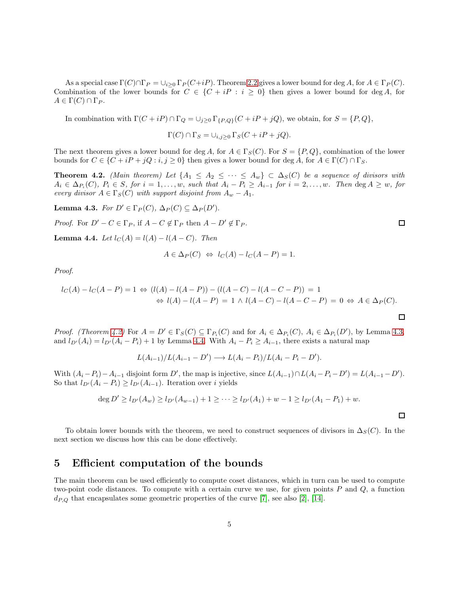As a special case  $\Gamma(C) \cap \Gamma_P = \bigcup_{i \geq 0} \Gamma_P(C+iP)$ . Theorem [2.2](#page-2-0) gives a lower bound for deg A, for  $A \in \Gamma_P(C)$ . Combination of the lower bounds for  $C \in \{C + iP : i \geq 0\}$  then gives a lower bound for deg A, for  $A \in \Gamma(C) \cap \Gamma_P$ .

In combination with  $\Gamma(C + iP) \cap \Gamma_Q = \bigcup_{j \geq 0} \Gamma_{\{P,Q\}}(C + iP + jQ)$ , we obtain, for  $S = \{P,Q\}$ ,

$$
\Gamma(C) \cap \Gamma_S = \bigcup_{i,j \geq 0} \Gamma_S(C + iP + jQ).
$$

The next theorem gives a lower bound for deg A, for  $A \in \Gamma_S(C)$ . For  $S = \{P, Q\}$ , combination of the lower bounds for  $C \in \{C + iP + jQ : i, j \ge 0\}$  then gives a lower bound for deg A, for  $A \in \Gamma(C) \cap \Gamma_S$ .

<span id="page-4-0"></span>**Theorem 4.2.** (Main theorem) Let  $\{A_1 \leq A_2 \leq \cdots \leq A_w\} \subset \Delta_S(C)$  be a sequence of divisors with  $A_i \in \Delta_{P_i}(C), P_i \in S$ , for  $i = 1, \ldots, w$ , such that  $A_i - P_i \geq A_{i-1}$  for  $i = 2, \ldots, w$ . Then  $\deg A \geq w$ , for every divisor  $A \in \Gamma_S(C)$  with support disjoint from  $A_w - A_1$ .

<span id="page-4-1"></span>**Lemma 4.3.** For  $D' \in \Gamma_P(C)$ ,  $\Delta_P(C) \subseteq \Delta_P(D')$ .

*Proof.* For  $D' - C \in \Gamma_P$ , if  $A - C \notin \Gamma_P$  then  $A - D' \notin \Gamma_P$ .

<span id="page-4-2"></span>**Lemma 4.4.** Let  $l_C(A) = l(A) - l(A - C)$ . Then

$$
A \in \Delta_P(C) \Leftrightarrow l_C(A) - l_C(A - P) = 1.
$$

Proof.

$$
l_C(A) - l_C(A - P) = 1 \Leftrightarrow (l(A) - l(A - P)) - (l(A - C) - l(A - C - P)) = 1
$$
  
\n
$$
\Leftrightarrow l(A) - l(A - P) = 1 \wedge l(A - C) - l(A - C - P) = 0 \Leftrightarrow A \in \Delta_P(C).
$$

*Proof.* (Theorem [4.2\)](#page-4-0) For  $A = D' \in \Gamma_S(C) \subseteq \Gamma_{P_i}(C)$  and for  $A_i \in \Delta_{P_i}(C)$ ,  $A_i \in \Delta_{P_i}(D')$ , by Lemma [4.3,](#page-4-1) and  $l_{D'}(A_i) = l_{D'}(A_i - P_i) + 1$  by Lemma [4.4.](#page-4-2) With  $A_i - P_i \geq A_{i-1}$ , there exists a natural map

$$
L(A_{i-1})/L(A_{i-1}-D') \longrightarrow L(A_i-P_i)/L(A_i-P_i-D').
$$

With  $(A_i - P_i) - A_{i-1}$  disjoint form D', the map is injective, since  $L(A_{i-1}) \cap L(A_i - P_i - D') = L(A_{i-1} - D')$ . So that  $l_{D'}(A_i - P_i) \geq l_{D'}(A_{i-1})$ . Iteration over i yields

$$
\deg D' \ge l_{D'}(A_w) \ge l_{D'}(A_{w-1}) + 1 \ge \cdots \ge l_{D'}(A_1) + w - 1 \ge l_{D'}(A_1 - P_1) + w.
$$

To obtain lower bounds with the theorem, we need to construct sequences of divisors in  $\Delta_S(C)$ . In the next section we discuss how this can be done effectively.

### 5 Efficient computation of the bounds

The main theorem can be used efficiently to compute coset distances, which in turn can be used to compute two-point code distances. To compute with a certain curve we use, for given points  $P$  and  $Q$ , a function  $d_{P,Q}$  that encapsulates some geometric properties of the curve [\[7\]](#page-8-0), see also [\[2\]](#page-8-6), [\[14\]](#page-10-3).

 $\Box$ 

口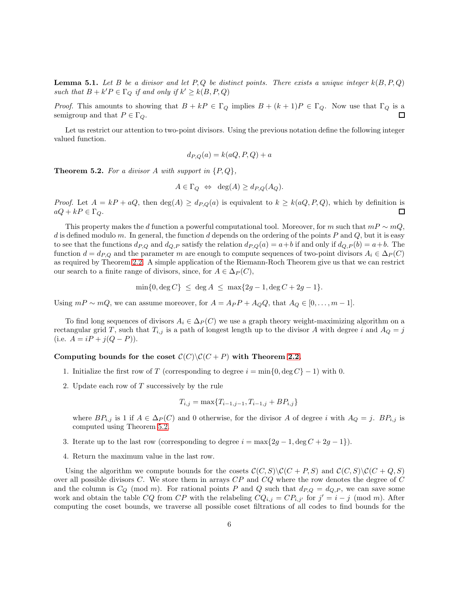**Lemma 5.1.** Let B be a divisor and let P, Q be distinct points. There exists a unique integer  $k(B, P, Q)$ such that  $B + k'P \in \Gamma_Q$  if and only if  $k' \geq k(B, P, Q)$ 

*Proof.* This amounts to showing that  $B + kP \in \Gamma_Q$  implies  $B + (k+1)P \in \Gamma_Q$ . Now use that  $\Gamma_Q$  is a П semigroup and that  $P \in \Gamma_Q$ .

Let us restrict our attention to two-point divisors. Using the previous notation define the following integer valued function.

$$
d_{P,Q}(a) = k(aQ, P, Q) + a
$$

<span id="page-5-0"></span>**Theorem 5.2.** For a divisor A with support in  $\{P,Q\}$ ,

$$
A \in \Gamma_Q \Leftrightarrow \deg(A) \ge d_{P,Q}(A_Q).
$$

*Proof.* Let  $A = kP + aQ$ , then  $\deg(A) \geq d_{P,Q}(a)$  is equivalent to  $k \geq k(aQ, P, Q)$ , which by definition is  $aQ + kP \in \Gamma_Q$ .  $\Box$ 

This property makes the d function a powerful computational tool. Moreover, for m such that  $mP \sim mQ$ , d is defined modulo m. In general, the function d depends on the ordering of the points  $P$  and  $Q$ , but it is easy to see that the functions  $d_{P,Q}$  and  $d_{Q,P}$  satisfy the relation  $d_{P,Q}(a) = a+b$  if and only if  $d_{Q,P}(b) = a+b$ . The function  $d = d_{P,Q}$  and the parameter m are enough to compute sequences of two-point divisors  $A_i \in \Delta_P(C)$ as required by Theorem [2.2.](#page-2-0) A simple application of the Riemann-Roch Theorem give us that we can restrict our search to a finite range of divisors, since, for  $A \in \Delta_P(C)$ ,

$$
\min\{0, \deg C\} \le \deg A \le \max\{2g - 1, \deg C + 2g - 1\}.
$$

Using  $mP \sim mQ$ , we can assume moreover, for  $A = A_P P + A_Q Q$ , that  $A_Q \in [0, \ldots, m-1]$ .

To find long sequences of divisors  $A_i \in \Delta_P(C)$  we use a graph theory weight-maximizing algorithm on a rectangular grid T, such that  $T_{i,j}$  is a path of longest length up to the divisor A with degree i and  $A_Q = j$ (i.e.  $A = iP + j(Q - P)$ ).

#### Computing bounds for the coset  $C(C)\setminus C(C + P)$  with Theorem [2.2.](#page-2-0)

- 1. Initialize the first row of T (corresponding to degree  $i = \min\{0, \deg C\} 1$ ) with 0.
- 2. Update each row of T successively by the rule

$$
T_{i,j} = \max\{T_{i-1,j-1}, T_{i-1,j} + BP_{i,j}\}\
$$

where  $BP_{i,j}$  is 1 if  $A \in \Delta_P(C)$  and 0 otherwise, for the divisor A of degree i with  $A_Q = j$ .  $BP_{i,j}$  is computed using Theorem [5.2.](#page-5-0)

- 3. Iterate up to the last row (corresponding to degree  $i = \max\{2g 1, \deg C + 2g 1\}$ ).
- 4. Return the maximum value in the last row.

Using the algorithm we compute bounds for the cosets  $\mathcal{C}(C, S)\setminus \mathcal{C}(C + P, S)$  and  $\mathcal{C}(C, S)\setminus \mathcal{C}(C + Q, S)$ over all possible divisors C. We store them in arrays  $CP$  and  $CQ$  where the row denotes the degree of  $C$ and the column is  $C_Q \pmod{m}$ . For rational points P and Q such that  $d_{P,Q} = d_{Q,P}$ , we can save some work and obtain the table CQ from CP with the relabeling  $CQ_{i,j} = CP_{i,j'}$  for  $j' = i - j \pmod{m}$ . After computing the coset bounds, we traverse all possible coset filtrations of all codes to find bounds for the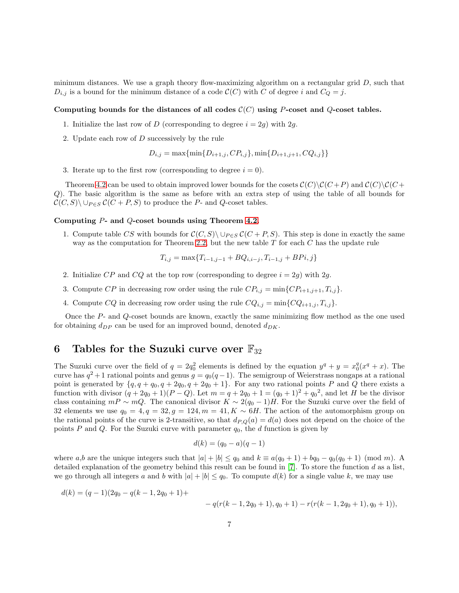minimum distances. We use a graph theory flow-maximizing algorithm on a rectangular grid  $D$ , such that  $D_{i,j}$  is a bound for the minimum distance of a code  $\mathcal{C}(C)$  with C of degree i and  $C_Q = j$ .

#### Computing bounds for the distances of all codes  $\mathcal{C}(C)$  using P-coset and Q-coset tables.

- 1. Initialize the last row of D (corresponding to degree  $i = 2q$ ) with 2g.
- 2. Update each row of D successively by the rule

 $D_{i,j} = \max\{\min\{D_{i+1,j}, CP_{i,j}\}, \min\{D_{i+1,j+1}, CQ_{i,j}\}\}\$ 

3. Iterate up to the first row (corresponding to degree  $i = 0$ ).

Theorem [4.2](#page-4-0) can be used to obtain improved lower bounds for the cosets  $\mathcal{C}(C)\backslash\mathcal{C}(C+P)$  and  $\mathcal{C}(C)\backslash\mathcal{C}(C+P)$ Q). The basic algorithm is the same as before with an extra step of using the table of all bounds for  $\mathcal{C}(C, S) \setminus \cup_{P \in S} \mathcal{C}(C + P, S)$  to produce the P- and Q-coset tables.

#### Computing P- and Q-coset bounds using Theorem [4.2.](#page-4-0)

1. Compute table CS with bounds for  $\mathcal{C}(C, S) \setminus \cup_{P \in S} \mathcal{C}(C + P, S)$ . This step is done in exactly the same way as the computation for Theorem [2.2,](#page-2-0) but the new table  $T$  for each  $C$  has the update rule

$$
T_{i,j} = \max\{T_{i-1,j-1} + BQ_{i,i-j}, T_{i-1,j} + BPi, j\}
$$

- 2. Initialize CP and CQ at the top row (corresponding to degree  $i = 2g$ ) with 2g.
- 3. Compute CP in decreasing row order using the rule  $CP_{i,j} = \min\{CP_{i+1,j+1}, T_{i,j}\}.$
- 4. Compute CQ in decreasing row order using the rule  $CQ_{i,j} = \min\{CQ_{i+1,j}, T_{i,j}\}.$

Once the P- and Q-coset bounds are known, exactly the same minimizing flow method as the one used for obtaining  $d_{DP}$  can be used for an improved bound, denoted  $d_{DK}$ .

# 6 Tables for the Suzuki curve over  $\mathbb{F}_{32}$

The Suzuki curve over the field of  $q = 2q_0^2$  elements is defined by the equation  $y^q + y = x_0^q(x^q + x)$ . The curve has  $q^2+1$  rational points and genus  $g = q_0(q-1)$ . The semigroup of Weierstrass nongaps at a rational point is generated by  $\{q, q + q_0, q + 2q_0, q + 2q_0 + 1\}$ . For any two rational points P and Q there exists a function with divisor  $(q + 2q_0 + 1)(P - Q)$ . Let  $m = q + 2q_0 + 1 = (q_0 + 1)^2 + q_0^2$ , and let H be the divisor class containing  $mP \sim mQ$ . The canonical divisor  $K \sim 2(q_0-1)H$ . For the Suzuki curve over the field of 32 elements we use  $q_0 = 4$ ,  $q = 32$ ,  $q = 124$ ,  $m = 41$ ,  $K \sim 6H$ . The action of the automorphism group on the rational points of the curve is 2-transitive, so that  $d_{P,Q}(a) = d(a)$  does not depend on the choice of the points P and Q. For the Suzuki curve with parameter  $q_0$ , the d function is given by

$$
d(k) = (q_0 - a)(q - 1)
$$

where a,b are the unique integers such that  $|a| + |b| \leq q_0$  and  $k \equiv a(q_0 + 1) + bq_0 - q_0(q_0 + 1)$  (mod m). A detailed explanation of the geometry behind this result can be found in [\[7\]](#page-8-0). To store the function d as a list, we go through all integers a and b with  $|a| + |b| \leq q_0$ . To compute  $d(k)$  for a single value k, we may use

$$
d(k) = (q-1)(2q_0 - q(k-1, 2q_0+1) +
$$
  
-
$$
q(r(k-1, 2q_0+1), q_0+1) - r(r(k-1, 2q_0+1), q_0+1)),
$$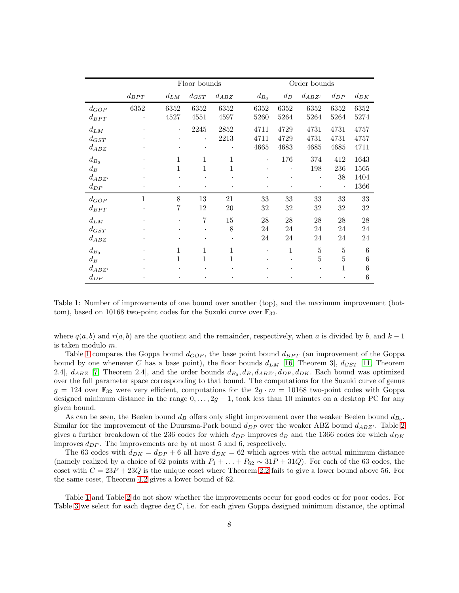|                                              |                       |                     | Floor bounds                 |                   |                        | Order bounds         |                      |                               |                              |  |  |  |
|----------------------------------------------|-----------------------|---------------------|------------------------------|-------------------|------------------------|----------------------|----------------------|-------------------------------|------------------------------|--|--|--|
|                                              | $d_{BPT}$<br>$d_{LM}$ |                     | $d_{GST}$                    | $d_{ABZ}$         | $d_{B_0}$              | $d_B$                | $d_{ABZ'}$           | $d_{DP}$                      | $d_{DK}$                     |  |  |  |
| $d_{GOP}$<br>$d_{BPT}$                       | 6352                  | 6352<br>4527        | 6352<br>4551                 | 6352<br>4597      | 6352<br>5260           | 6352<br>5264         | 6352<br>5264         | 6352<br>5264                  | 6352<br>5274                 |  |  |  |
| $d_{LM}$<br>$d_{GST}$<br>$d_{ABZ}$           |                       | ٠                   | 2245                         | 2852<br>2213      | 4711<br>4711<br>4665   | 4729<br>4729<br>4683 | 4731<br>4731<br>4685 | 4731<br>4731<br>4685          | 4757<br>4757<br>4711         |  |  |  |
| $d_{B_0}$<br>$d_B$<br>$d_{ABZ'}$<br>$d_{DP}$ |                       | 1<br>1<br>$\bullet$ | $\mathbf{1}$<br>1<br>$\cdot$ | $\mathbf{1}$<br>1 | $\bullet$<br>$\bullet$ | 176                  | 374<br>198           | 412<br>236<br>38<br>$\bullet$ | 1643<br>1565<br>1404<br>1366 |  |  |  |
| $d_{GOP}$<br>$d_{BPT}$                       | $\mathbf{1}$          | 8<br>7              | 13<br>12                     | 21<br>20          | 33<br>32               | 33<br>32             | 33<br>32             | 33<br>$32\,$                  | 33<br>32                     |  |  |  |
| $d_{LM}$<br>$d_{GST}$<br>$d_{ABZ}$           |                       |                     | $\overline{7}$               | 15<br>8           | 28<br>24<br>24         | 28<br>24<br>24       | 28<br>24<br>24       | 28<br>24<br>24                | 28<br>24<br>24               |  |  |  |
| $d_{B_0}$<br>$d_B$<br>$d_{ABZ'}$<br>$d_{DP}$ |                       | 1<br>1              | 1<br>1                       | 1<br>$\mathbf{1}$ |                        | 1                    | 5<br>5               | 5<br>$\overline{5}$<br>1      | 6<br>6<br>6<br>6             |  |  |  |

<span id="page-7-0"></span>Table 1: Number of improvements of one bound over another (top), and the maximum improvement (bottom), based on 10168 two-point codes for the Suzuki curve over  $\mathbb{F}_{32}$ .

where  $q(a, b)$  and  $r(a, b)$  are the quotient and the remainder, respectively, when a is divided by b, and k − 1 is taken modulo m.

Table [1](#page-7-0) compares the Goppa bound  $d_{GOP}$ , the base point bound  $d_{BPT}$  (an improvement of the Goppa bound by one whenever C has a base point), the floor bounds  $d_{LM}$  [\[16,](#page-10-2) Theorem 3],  $d_{GST}$  [\[11,](#page-8-4) Theorem 2.4,  $d_{ABZ}$  [\[7,](#page-8-0) Theorem 2.4], and the order bounds  $d_{B_0}, d_B, d_{ABZ'}, d_{DP}, d_{DK}$ . Each bound was optimized over the full parameter space corresponding to that bound. The computations for the Suzuki curve of genus  $g = 124$  over  $\mathbb{F}_{32}$  were very efficient, computations for the  $2g \cdot m = 10168$  two-point codes with Goppa designed minimum distance in the range  $0, \ldots, 2g - 1$ , took less than 10 minutes on a desktop PC for any given bound.

As can be seen, the Beelen bound  $d_B$  offers only slight improvement over the weaker Beelen bound  $d_{B_0}$ . Similar for the improvement of the Duursma-Park bound  $d_{DP}$  over the weaker ABZ bound  $d_{ABZ'}$ . Table [2](#page-8-7) gives a further breakdown of the 236 codes for which  $d_{DP}$  improves  $d_B$  and the 1366 codes for which  $d_{DK}$ improves  $d_{DP}$ . The improvements are by at most 5 and 6, respectively.

The 63 codes with  $d_{DK} = d_{DP} + 6$  all have  $d_{DK} = 62$  which agrees with the actual minimum distance (namely realized by a choice of 62 points with  $P_1 + \ldots + P_{62} \sim 31P + 31Q$ ). For each of the 63 codes, the coset with  $C = 23P + 23Q$  is the unique coset where Theorem [2.2](#page-2-0) fails to give a lower bound above 56. For the same coset, Theorem [4.2](#page-4-0) gives a lower bound of 62.

Table [1](#page-7-0) and Table [2](#page-8-7) do not show whether the improvements occur for good codes or for poor codes. For Table [3](#page-9-0) we select for each degree deg  $C$ , i.e. for each given Goppa designed minimum distance, the optimal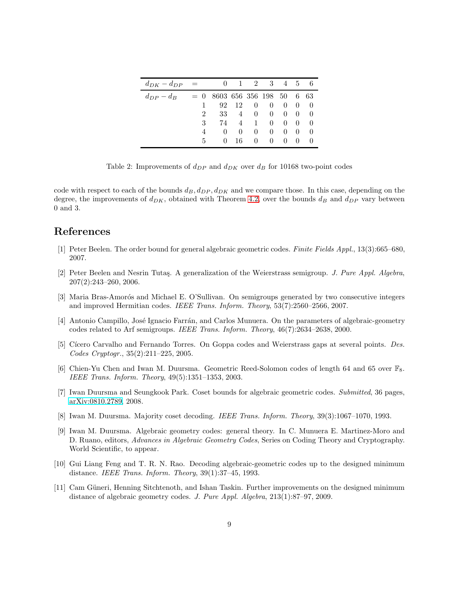| $d_{DK} - d_{DP}$ = |                                |          | $\theta$ |                  | $1 \quad 2 \quad 3$ |                  | 4 5 6             |                          |
|---------------------|--------------------------------|----------|----------|------------------|---------------------|------------------|-------------------|--------------------------|
| $d_{DP} - d_B$      | $= 0$ 8603 656 356 198 50 6 63 |          |          |                  |                     |                  |                   |                          |
|                     | $\mathbf{1}$                   | 92       | - 12     | $\overline{0}$   | $\Omega$            | $\theta$         | $\hspace{0.6cm}0$ | $\qquad \qquad \text{0}$ |
|                     | $\overline{2}$                 | 33       |          | $4 \quad 0$      | $\theta$            | $\overline{0}$   | $\hspace{0.6cm}0$ | - 0                      |
|                     | 3                              | 74       | 4        | $\mathbf{1}$     | $\theta$            | $\left( \right)$ | $\theta$          | -0                       |
|                     | 4                              | $\Omega$ | $\theta$ | $\left( \right)$ | $\theta$            | $\theta$         | -0                | -0                       |
|                     | $5 -$                          | $\Omega$ | 16       | $\Omega$         | $\theta$            | $\theta$         | -0                | - 0                      |

<span id="page-8-7"></span>Table 2: Improvements of  $d_{DP}$  and  $d_{DK}$  over  $d_B$  for 10168 two-point codes

code with respect to each of the bounds  $d_B$ ,  $d_{DP}$ ,  $d_{DK}$  and we compare those. In this case, depending on the degree, the improvements of  $d_{DK}$ , obtained with Theorem [4.2,](#page-4-0) over the bounds  $d_B$  and  $d_{DP}$  vary between 0 and 3.

# <span id="page-8-5"></span>References

- <span id="page-8-6"></span>[1] Peter Beelen. The order bound for general algebraic geometric codes. Finite Fields Appl., 13(3):665–680, 2007.
- [2] Peter Beelen and Nesrin Tutas. A generalization of the Weierstrass semigroup. J. Pure Appl. Algebra, 207(2):243–260, 2006.
- [3] Maria Bras-Amorós and Michael E. O'Sullivan. On semigroups generated by two consecutive integers and improved Hermitian codes. IEEE Trans. Inform. Theory, 53(7):2560–2566, 2007.
- <span id="page-8-3"></span>[4] Antonio Campillo, José Ignacio Farrán, and Carlos Munuera. On the parameters of algebraic-geometry codes related to Arf semigroups. IEEE Trans. Inform. Theory, 46(7):2634–2638, 2000.
- [5] Cícero Carvalho and Fernando Torres. On Goppa codes and Weierstrass gaps at several points. Des. Codes Cryptogr., 35(2):211–225, 2005.
- [6] Chien-Yu Chen and Iwan M. Duursma. Geometric Reed-Solomon codes of length 64 and 65 over  $\mathbb{F}_8$ . IEEE Trans. Inform. Theory, 49(5):1351–1353, 2003.
- <span id="page-8-0"></span>[7] Iwan Duursma and Seungkook Park. Coset bounds for algebraic geometric codes. Submitted, 36 pages, [arXiv:0810.2789,](http://arxiv.org/abs/0810.2789) 2008.
- <span id="page-8-2"></span>[8] Iwan M. Duursma. Majority coset decoding. IEEE Trans. Inform. Theory, 39(3):1067–1070, 1993.
- [9] Iwan M. Duursma. Algebraic geometry codes: general theory. In C. Munuera E. Martinez-Moro and D. Ruano, editors, Advances in Algebraic Geometry Codes, Series on Coding Theory and Cryptography. World Scientific, to appear.
- <span id="page-8-1"></span>[10] Gui Liang Feng and T. R. N. Rao. Decoding algebraic-geometric codes up to the designed minimum distance. IEEE Trans. Inform. Theory, 39(1):37–45, 1993.
- <span id="page-8-4"></span>[11] Cam Güneri, Henning Sitchtenoth, and Ishan Taskin. Further improvements on the designed minimum distance of algebraic geometry codes. J. Pure Appl. Algebra, 213(1):87–97, 2009.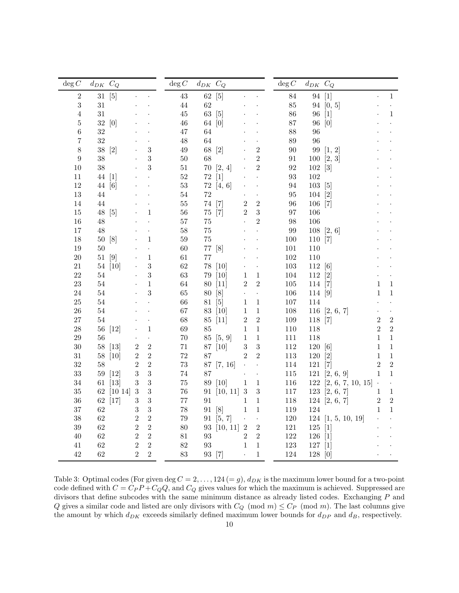| $\deg C$         | $d_{DK}$ $C_Q$ |                   |                |                      | $\deg C$ | $d_{DK}\ \ C_Q$ |                   |                      |                      | $\deg C$ | $d_{DK}$ $C_Q$ |                         |                |                      |
|------------------|----------------|-------------------|----------------|----------------------|----------|-----------------|-------------------|----------------------|----------------------|----------|----------------|-------------------------|----------------|----------------------|
| $\,2$            | 31             | [5]               |                |                      | $43\,$   | 62              | $[5]$             |                      |                      | 84       | $94\,$         | $[1]$                   |                | $\mathbf{1}$         |
| 3                | $31\,$         |                   |                |                      | $44\,$   | 62              |                   |                      |                      | 85       |                | 94 [0, 5]               |                |                      |
| $\overline{4}$   | $31\,$         |                   |                |                      | $45\,$   | 63              | [5]               |                      |                      | 86       | 96             | $\lceil 1 \rceil$       |                | $\mathbf{1}$         |
| $\overline{5}$   | $32\,$         | [0]               |                |                      | 46       | $64\,$          | [0]               |                      |                      | 87       | 96             | [0]                     |                |                      |
| 6                | 32             |                   |                |                      | 47       | 64              |                   |                      |                      | 88       | 96             |                         |                |                      |
| 7                | 32             |                   |                |                      | 48       | 64              |                   |                      |                      | 89       | 96             |                         |                |                      |
| 8                | $38\,$         | $[2]$             |                | 3                    | 49       | 68              | $[2]$             |                      | $\overline{2}$       | $90\,$   |                | 99 [1, 2]               |                |                      |
| $\boldsymbol{9}$ | 38             |                   |                | 3                    | $50\,$   | 68              |                   |                      | $\sqrt{2}$           | $\rm 91$ |                | 100 [2, 3]              |                |                      |
| $10\,$           | 38             |                   |                | 3                    | $51\,$   | 70              | [2, 4]            |                      | $\overline{2}$       | 92       | 102 [3]        |                         |                |                      |
| 11               | 44             | $[1]$             |                |                      | 52       | 72              | $[1]$             |                      |                      | 93       | 102            |                         |                |                      |
| $12\,$           | 44             | $\lceil 6 \rceil$ |                |                      | $53\,$   | $72\,$          | [4, 6]            |                      |                      | 94       | 103            | $\lceil 5 \rceil$       |                |                      |
| $13\,$           | 44             |                   |                |                      | $54\,$   | 72              |                   |                      |                      | 95       | 104            | $\lceil 2 \rceil$       |                |                      |
| 14               | 44             |                   |                |                      | $55\,$   | 74              | $\lceil 7 \rceil$ | $\sqrt{2}$           | $\overline{2}$       | 96       | 106            | $[7]$                   |                |                      |
| $15\,$           | $48\,$         | $\lceil 5 \rceil$ |                | $\mathbf{1}$         | 56       | $75\,$          | $[7]$             | $\overline{2}$       | $\sqrt{3}$           | 97       | 106            |                         |                |                      |
| 16               | 48             |                   |                |                      | $57\,$   | 75              |                   |                      | $\overline{2}$       | 98       | 106            |                         |                |                      |
| $17\,$           | $48\,$         |                   |                |                      | $58\,$   | $75\,$          |                   |                      |                      | $\rm 99$ |                | $108$ [2, 6]            |                |                      |
| 18               | $50\,$         | $\lceil 8 \rceil$ |                | $\mathbf 1$          | 59       | $75\,$          |                   |                      |                      | 100      | 110 [7]        |                         |                |                      |
| 19               | 50             |                   |                |                      | 60       | $77\,$          | [8]               |                      |                      | 101      | 110            |                         |                |                      |
| $20\,$           | $51\,$         | [9]               |                | $\,1\,$              | 61       | $77\,$          |                   |                      |                      | $102\,$  | 110            |                         |                |                      |
| $21\,$           | 54             | $[10]$            |                | $\sqrt{3}$           | 62       | $78\,$          | [10]              |                      |                      | $103\,$  | 112 [6]        |                         |                |                      |
| $22\,$           | $54\,$         |                   |                | $\sqrt{3}$           | 63       | $79\,$          | [10]              | $\mathbf{1}$         | $\,1\,$              | $104\,$  | $112\,$        | $\lceil 2 \rceil$       |                |                      |
| $23\,$           | $54\,$         |                   |                | $\mathbf 1$          | 64       | $80\,$          | $[11]$            | $\sqrt{2}$           | $\sqrt{2}$           | $105\,$  | 114 [7]        |                         | $\mathbf{1}$   | $\mathbf 1$          |
| $24\,$           | 54             |                   |                | 3                    | 65       | $80\,$          | [8]               | $\ddot{\phantom{0}}$ | $\ddot{\phantom{0}}$ | 106      | 114 [9]        |                         | $\mathbf{1}$   | $\mathbf{1}$         |
| 25               | 54             |                   |                |                      | 66       | 81              | [5]               | $\mathbf{1}$         | $\,1\,$              | 107      | 114            |                         |                |                      |
| $26\,$           | 54             |                   |                |                      | 67       | 83              | [10]              | $\mathbf{1}$         | $\,1\,$              | $108\,$  |                | 116 [2, 6, 7]           |                | $\ddot{\phantom{0}}$ |
| $27\,$           | 54             |                   |                |                      | 68       | $85\,$          | $[11]$            | $\sqrt{2}$           | $\sqrt{2}$           | 109      | 118 [7]        |                         | $\,2$          | $\sqrt{2}$           |
| $\sqrt{28}$      | $56\,$         | $[12]$            |                | $\,1\,$              | $69\,$   | 85              |                   | $\mathbf{1}$         | $\,1\,$              | $110\,$  | 118            |                         | $\sqrt{2}$     | $\overline{2}$       |
| $\,29$           | 56             |                   |                | $\ddot{\phantom{0}}$ | $70\,$   | 85              | [5, 9]            | $\mathbf{1}$         | $\,1\,$              | 111      | 118            |                         | $\mathbf{1}$   | $\mathbf{1}$         |
| $30\,$           | $58\,$         | $[13]$            | $\sqrt{2}$     | $\overline{2}$       | $71\,$   | $87\,$          | [10]              | $\sqrt{3}$           | $\sqrt{3}$           | $112\,$  | $120\,$        | $\lceil 6 \rceil$       | $\mathbf{1}$   | $\mathbf{1}$         |
| $31\,$           | $58\,$         | [10]              | $\overline{2}$ | $\boldsymbol{2}$     | 72       | 87              |                   | $\overline{2}$       | $\sqrt{2}$           | 113      | $120\,$        | $[2]$                   | $\mathbf{1}$   | $\mathbf{1}$         |
| $32\,$           | 58             |                   | $\overline{2}$ | $\overline{2}$       | $73\,$   | 87              | [7, 16]           |                      | $\ddot{\phantom{0}}$ | 114      | 121            | $\lceil 7 \rceil$       | $\overline{2}$ | $\overline{2}$       |
| 33               | 59             | $[12]$            | 3              | $\overline{3}$       | 74       | 87              |                   |                      | $\ddot{\phantom{0}}$ | 115      |                | 121 [2, 6, 9]           | $\mathbf{1}$   | $\mathbf{1}$         |
| $34\,$           | 61             | $[13]$            | 3              | $\overline{3}$       | $75\,$   | 89              | [10]              | $\mathbf{1}$         | $\mathbf{1}$         | 116      | 122            | [2, 6, 7, 10, 15]       | $\cdot$        | ¥,                   |
| $35\,$           | 62             | [10 14]           | $\sqrt{3}$     | 3                    | 76       | 91              | [10, 11]          | $\sqrt{3}$           | $\sqrt{3}$           | 117      |                | 123 [2, 6, 7]           | 1              | $\mathbf{1}$         |
| $36\,$           | 62             | $[17]$            | $\,3$          | $\overline{3}$       | 77       | 91              |                   | $\mathbf{1}$         | $\mathbf 1$          | 118      |                | 124 [2, 6, 7]           | $\,2$          | $\overline{2}$       |
| 37               | 62             |                   | 3              | $\overline{3}$       | 78       | 91              | [8]               | $\mathbf{1}$         | $\,1\,$              | 119      | 124            |                         | $\mathbf{1}$   | $\mathbf{1}$         |
| $38\,$           | 62             |                   | $\overline{2}$ | $\overline{2}$       | 79       | 91              | [5, 7]            | $\ddot{\phantom{0}}$ | $\ddot{\phantom{0}}$ | 120      |                | $124 \; [1, 5, 10, 19]$ |                |                      |
| $39\,$           | 62             |                   | $\overline{2}$ | $\overline{2}$       | 80       | 93              | [10, 11]          | $\,2$                | $\sqrt{2}$           | 121      | 125            | $[1]$                   |                |                      |
| $40\,$           | 62             |                   | $\overline{2}$ | $\sqrt{2}$           | $81\,$   | 93              |                   | $\overline{2}$       | $\overline{2}$       | $122\,$  | $126\,$        | $\lceil 1 \rceil$       |                |                      |
| 41               | 62             |                   | $\overline{2}$ | $\overline{2}$       | 82       | 93              |                   | $\mathbf{1}$         | $\,1\,$              | $123\,$  | 127            | $[1]$                   |                |                      |
| $42\,$           | 62             |                   | $\overline{2}$ | $\,2$                | 83       | 93              | $[7]$             |                      | $\,1$                | 124      | $128\,$        | [0]                     |                |                      |

<span id="page-9-0"></span>Table 3: Optimal codes (For given deg  $C = 2, \ldots, 124 (= g), d_{DK}$  is the maximum lower bound for a two-point code defined with  $C = C_P P + C_Q Q$ , and  $C_Q$  gives values for which the maximum is achieved. Suppressed are divisors that define subcodes with the same minimum distance as already listed codes. Exchanging  $P$  and Q gives a similar code and listed are only divisors with  $C_Q \pmod{m} \leq C_P \pmod{m}$ . The last columns give the amount by which  $d_{DK}$  exceeds similarly defined maximum lower bounds for  $d_{DP}$  and  $d_B$ , respectively.